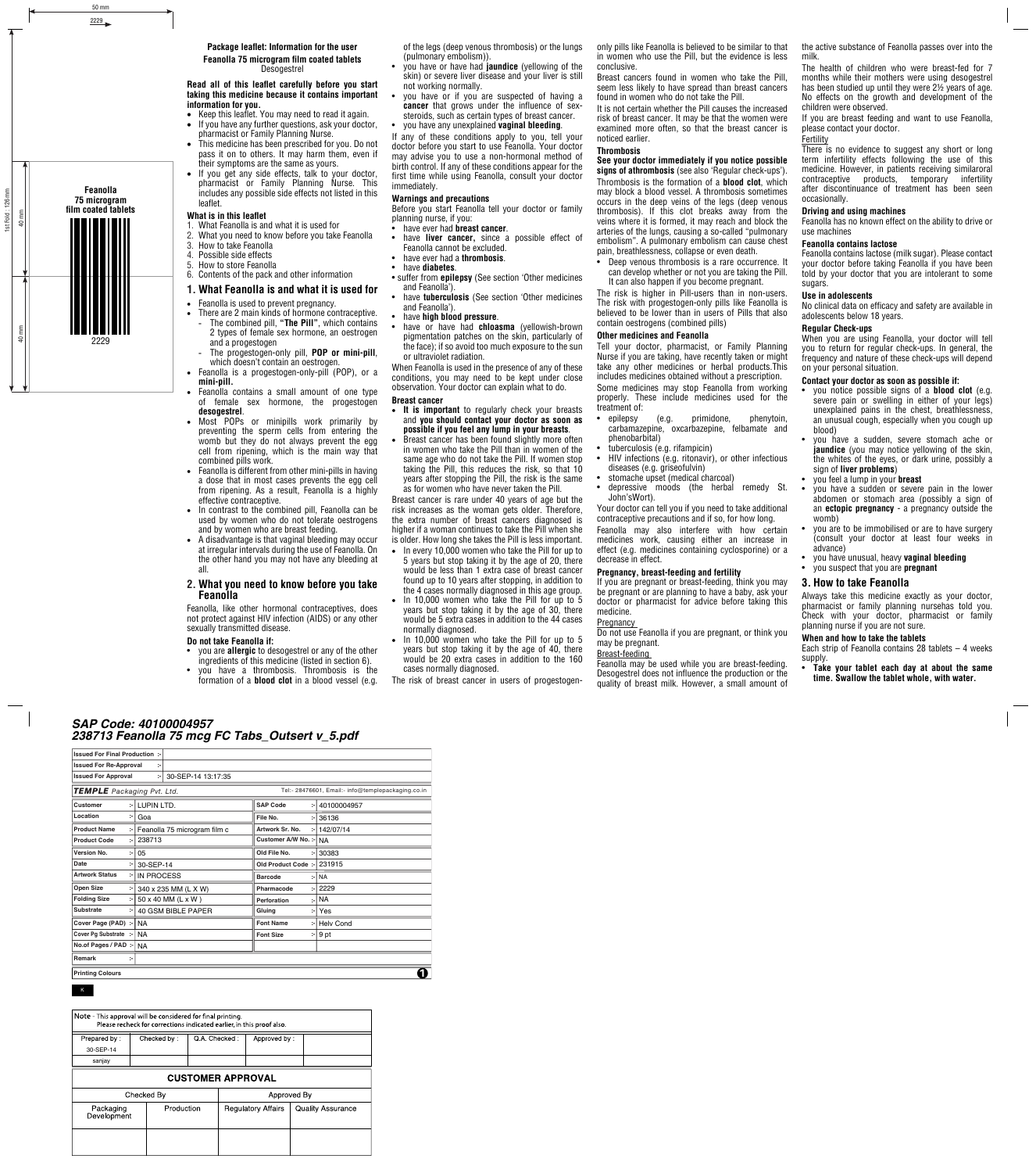### **Package leaflet: Information for the user**

**Feanolla 75 microgram film coated tablets** Desogestrel

## **Read all of this leaflet carefully before you start taking this medicine because it contains important information for you.**

- Keep this leaflet. You may need to read it again.
- If you have any further questions, ask your doctor, pharmacist or Family Planning Nurse.
- This medicine has been prescribed for you. Do not pass it on to others. It may harm them, even if their symptoms are the same as yours.
- If you get any side effects, talk to your doctor, pharmacist or Family Planning Nurse. This includes any possible side effects not listed in this leaflet.

# **What is in this leaflet**

- 1. What Feanolla is and what it is used for
- 2. What you need to know before you take Feanolla
- 3. How to take Feanolla
- 4. Possible side effects
- 5. How to store Feanolla
- 6. Contents of the pack and other information

# **1. What Feanolla is and what it is used for**

- Feanolla is used to prevent pregnancy.
- There are 2 main kinds of hormone contraceptive.
- The combined pill, **"The Pill"**, which contains 2 types of female sex hormone, an oestrogen and a progestogen
- The progestogen-only pill, **POP or mini-pill**, which doesn't contain an oestrogen.
- Feanolla is a progestogen-only-pill (POP), or a **mini-pill.**
- Feanolla contains a small amount of one type of female sex hormone, the progestogen **desogestrel**.
- Most POPs or minipills work primarily by preventing the sperm cells from entering the womb but they do not always prevent the egg cell from ripening, which is the main way that combined pills work.
- Feanolla is different from other mini-pills in having a dose that in most cases prevents the egg cell from ripening. As a result, Feanolla is a highly effective contraceptive.
- In contrast to the combined pill, Feanolla can be used by women who do not tolerate oestrogens and by women who are breast feeding.
- A disadvantage is that vaginal bleeding may occur at irregular intervals during the use of Feanolla. On the other hand you may not have any bleeding at all.

# **2. What you need to know before you take Feanolla**

Feanolla, like other hormonal contraceptives, does not protect against HIV infection (AIDS) or any other sexually transmitted disease.

# **Do not take Feanolla if:**

- you are **allergic** to desogestrel or any of the other ingredients of this medicine (listed in section 6).
- you have a thrombosis. Thrombosis is the formation of a **blood clot** in a blood vessel (e.g.

of the legs (deep venous thrombosis) or the lungs (pulmonary embolism)).

- you have or have had **jaundice** (yellowing of the skin) or severe liver disease and your liver is still not working normally.
- you have or if you are suspected of having a **cancer** that grows under the influence of sexsteroids, such as certain types of breast cancer.
- you have any unexplained **vaginal bleeding**.

If any of these conditions apply to you, tell your doctor before you start to use Feanolla. Your doctor may advise you to use a non-hormonal method of birth control. If any of these conditions appear for the first time while using Feanolla, consult your doctor immediately.

# **Warnings and precautions**

Before you start Feanolla tell your doctor or family planning nurse, if you:<br>• have ever had **brea** 

- have ever had **breast cancer**.
- have **liver cancer,** since a possible effect of Feanolla cannot be excluded.
- have ever had a **thrombosis**.
- have **diabetes**.
- suffer from **epilepsy** (See section 'Other medicines and Feanolla').
- have **tuberculosis** (See section 'Other medicines and Feanolla').
- have **high blood pressure**.
- have or have had **chloasma** (yellowish-brown pigmentation patches on the skin, particularly of the face); if so avoid too much exposure to the sun or ultraviolet radiation.

When Feanolla is used in the presence of any of these conditions, you may need to be kept under close observation. Your doctor can explain what to do.

# **Breast cancer**

- **It is important** to regularly check your breasts and **you should contact your doctor as soon as possible if you feel any lump in your breasts**.
- Breast cancer has been found slightly more often in women who take the Pill than in women of the same age who do not take the Pill. If women stop taking the Pill, this reduces the risk, so that 10 years after stopping the Pill, the risk is the same as for women who have never taken the Pill.

Breast cancer is rare under 40 years of age but the risk increases as the woman gets older. Therefore, the extra number of breast cancers diagnosed is higher if a woman continues to take the Pill when she is older. How long she takes the Pill is less important.

- In every 10,000 women who take the Pill for up to 5 years but stop taking it by the age of 20, there would be less than 1 extra case of breast cancer found up to 10 years after stopping, in addition to the 4 cases normally diagnosed in this age group.
- In 10,000 women who take the Pill for up to 5 years but stop taking it by the age of 30, there would be 5 extra cases in addition to the 44 cases normally diagnosed.
- In 10,000 women who take the Pill for up to 5 years but stop taking it by the age of 40, there would be 20 extra cases in addition to the 160 cases normally diagnosed.
- The risk of breast cancer in users of progestogen-

only pills like Feanolla is believed to be similar to that in women who use the Pill, but the evidence is less conclusive.

Breast cancers found in women who take the Pill, seem less likely to have spread than breast cancers found in women who do not take the Pill.

It is not certain whether the Pill causes the increased risk of breast cancer. It may be that the women were examined more often, so that the breast cancer is noticed earlier.

# **Thrombosis**

#### **See your doctor immediately if you notice possible signs of athrombosis** (see also 'Regular check-ups').

Thrombosis is the formation of a **blood clot**, which may block a blood vessel. A thrombosis sometimes occurs in the deep veins of the legs (deep venous thrombosis). If this clot breaks away from the veins where it is formed, it may reach and block the arteries of the lungs, causing a so-called "pulmonary embolism". A pulmonary embolism can cause chest pain, breathlessness, collapse or even death.

• Deep venous thrombosis is a rare occurrence. It can develop whether or not you are taking the Pill. It can also happen if you become pregnant.

The risk is higher in Pill-users than in non-users. The risk with progestogen-only pills like Feanolla is believed to be lower than in users of Pills that also contain oestrogens (combined pills)

# **Other medicines and Feanolla**

Tell your doctor, pharmacist, or Family Planning Nurse if you are taking, have recently taken or might take any other medicines or herbal products.This includes medicines obtained without a prescription. Some medicines may stop Feanolla from working properly. These include medicines used for the treatment of:

- epilepsy (e.g. primidone, phenytoin, carbamazepine, oxcarbazepine, felbamate and phenobarbital)
- tuberculosis (e.g. rifampicin)
- HIV infections (e.g. ritonavir), or other infectious diseases (e.g. griseofulvin)
- stomache upset (medical charcoal)
- depressive moods (the herbal remedy St. John'sWort).

Your doctor can tell you if you need to take additional contraceptive precautions and if so, for how long.

Feanolla may also interfere with how certain medicines work, causing either an increase in effect (e.g. medicines containing cyclosporine) or a decrease in effect.

#### **Pregnancy, breast-feeding and fertility**

If you are pregnant or breast-feeding, think you may be pregnant or are planning to have a baby, ask your doctor or pharmacist for advice before taking this medicine.

# **Pregnancy**

Do not use Feanolla if you are pregnant, or think you may be pregnant.

# Breast-feeding

Feanolla may be used while you are breast-feeding. Desogestrel does not influence the production or the quality of breast milk. However, a small amount of the active substance of Feanolla passes over into the milk.

The health of children who were breast-fed for 7 months while their mothers were using desogestrel has been studied up until they were 2½ years of age. No effects on the growth and development of the children were observed.

If you are breast feeding and want to use Feanolla, please contact your doctor.

Fertility

There is no evidence to suggest any short or long term infertility effects following the use of this medicine. However, in patients receiving similaroral contraceptive products, temporary infertility after discontinuance of treatment has been seen occasionally.

# **Driving and using machines**

Feanolla has no known effect on the ability to drive or use machines

# **Feanolla contains lactose**

Feanolla contains lactose (milk sugar). Please contact your doctor before taking Feanolla if you have been told by your doctor that you are intolerant to some sugars.

### **Use in adolescents**

No clinical data on efficacy and safety are available in adolescents below 18 years.

#### **Regular Check-ups**

When you are using Feanolla, your doctor will tell you to return for regular check-ups. In general, the frequency and nature of these check-ups will depend on your personal situation.

#### **Contact your doctor as soon as possible if:**

- you notice possible signs of a **blood clot** (e.g. severe pain or swelling in either of your legs) unexplained pains in the chest, breathlessness, an unusual cough, especially when you cough up blood)
- you have a sudden, severe stomach ache or **jaundice** (you may notice yellowing of the skin, the whites of the eyes, or dark urine, possibly a sign of **liver problems**)
- you feel a lump in your **breast**
- you have a sudden or severe pain in the lower abdomen or stomach area (possibly a sign of an **ectopic pregnancy** - a pregnancy outside the womb)
- you are to be immobilised or are to have surgery (consult your doctor at least four weeks in advance)
- you have unusual, heavy **vaginal bleeding**
- you suspect that you are **pregnant**

# **3. How to take Feanolla**

**When and how to take the tablets**

supply.

Always take this medicine exactly as your doctor, pharmacist or family planning nursehas told you. Check with your doctor, pharmacist or family planning nurse if you are not sure.

Each strip of Feanolla contains 28 tablets  $-4$  weeks

• **Take your tablet each day at about the same time. Swallow the tablet whole, with water.**